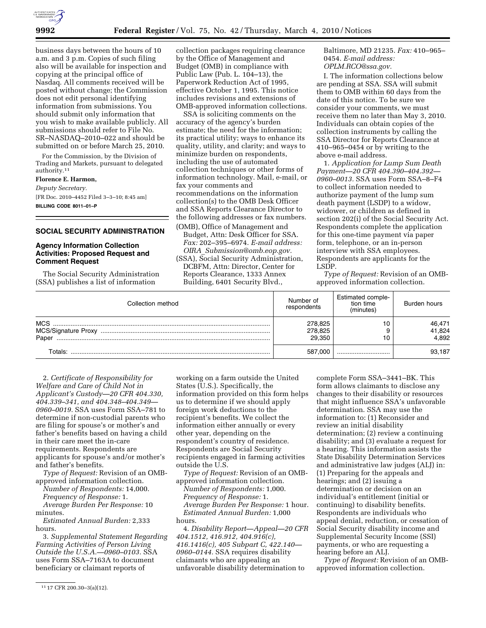

business days between the hours of 10 a.m. and 3 p.m. Copies of such filing also will be available for inspection and copying at the principal office of Nasdaq. All comments received will be posted without change; the Commission does not edit personal identifying information from submissions. You should submit only information that you wish to make available publicly. All submissions should refer to File No. SR–NASDAQ–2010–022 and should be submitted on or before March 25, 2010.

For the Commission, by the Division of Trading and Markets, pursuant to delegated authority.11

### **Florence E. Harmon,**

*Deputy Secretary.*  [FR Doc. 2010–4452 Filed 3–3–10; 8:45 am] **BILLING CODE 8011–01–P** 

### **SOCIAL SECURITY ADMINISTRATION**

# **Agency Information Collection Activities: Proposed Request and Comment Request**

The Social Security Administration (SSA) publishes a list of information

collection packages requiring clearance by the Office of Management and Budget (OMB) in compliance with Public Law (Pub. L. 104–13), the Paperwork Reduction Act of 1995, effective October 1, 1995. This notice includes revisions and extensions of OMB-approved information collections.

SSA is soliciting comments on the accuracy of the agency's burden estimate; the need for the information; its practical utility; ways to enhance its quality, utility, and clarity; and ways to minimize burden on respondents, including the use of automated collection techniques or other forms of information technology. Mail, e-mail, or fax your comments and recommendations on the information collection(s) to the OMB Desk Officer and SSA Reports Clearance Director to the following addresses or fax numbers.

(OMB), Office of Management and Budget, Attn: Desk Officer for SSA. *Fax:* 202–395–6974. *E-mail address: OIRA*\_*Submission@omb.eop.gov.* 

(SSA), Social Security Administration, DCBFM, Attn: Director, Center for Reports Clearance, 1333 Annex Building, 6401 Security Blvd.,

Baltimore, MD 21235. *Fax:* 410–965– 0454. *E-mail address: OPLM.RCO@ssa.gov.* 

I. The information collections below are pending at SSA. SSA will submit them to OMB within 60 days from the date of this notice. To be sure we consider your comments, we must receive them no later than May 3, 2010. Individuals can obtain copies of the collection instruments by calling the SSA Director for Reports Clearance at 410–965–0454 or by writing to the above e-mail address.

1. *Application for Lump Sum Death Payment—20 CFR 404.390–404.392— 0960–0013.* SSA uses Form SSA–8–F4 to collect information needed to authorize payment of the lump sum death payment (LSDP) to a widow, widower, or children as defined in section 202(i) of the Social Security Act. Respondents complete the application for this one-time payment via paper form, telephone, or an in-person interview with SSA employees. Respondents are applicants for the LSDP.

*Type of Request:* Revision of an OMBapproved information collection.

| Collection method                          | Number of<br>respondents     | Estimated comple-<br>tion time<br>(minutes) | Burden hours              |
|--------------------------------------------|------------------------------|---------------------------------------------|---------------------------|
| <b>MCS</b><br>MCS/Signature Proxy<br>Paper | 278,825<br>278,825<br>29.350 | 10                                          | 46,471<br>41,824<br>4.892 |
| ⊺otals:                                    | 587,000                      |                                             | 93.187                    |

2. *Certificate of Responsibility for Welfare and Care of Child Not in Applicant's Custody—20 CFR 404.330, 404.339–341, and 404.348–404.349— 0960–0019.* SSA uses Form SSA–781 to determine if non-custodial parents who are filing for spouse's or mother's and father's benefits based on having a child in their care meet the in-care requirements. Respondents are applicants for spouse's and/or mother's and father's benefits.

*Type of Request:* Revision of an OMBapproved information collection.

*Number of Respondents:* 14,000.

*Frequency of Response:* 1. *Average Burden Per Response:* 10

minutes.

*Estimated Annual Burden:* 2,333 hours.

3. *Supplemental Statement Regarding Farming Activities of Person Living Outside the U.S.A.—0960–0103.* SSA uses Form SSA–7163A to document beneficiary or claimant reports of

11 17 CFR 200.30–3(a)(12).

working on a farm outside the United States (U.S.). Specifically, the information provided on this form helps us to determine if we should apply foreign work deductions to the recipient's benefits. We collect the information either annually or every other year, depending on the respondent's country of residence. Respondents are Social Security recipients engaged in farming activities outside the U.S.

*Type of Request:* Revision of an OMBapproved information collection.

*Number of Respondents:* 1,000. *Frequency of Response:* 1. *Average Burden Per Response:* 1 hour. *Estimated Annual Burden:* 1,000 hours.

4. *Disability Report—Appeal—20 CFR 404.1512, 416.912, 404.916(c), 416.1416(c), 405 Subpart C, 422.140— 0960–0144.* SSA requires disability claimants who are appealing an unfavorable disability determination to

complete Form SSA–3441–BK. This form allows claimants to disclose any changes to their disability or resources that might influence SSA's unfavorable determination. SSA may use the information to: (1) Reconsider and review an initial disability determination; (2) review a continuing disability; and (3) evaluate a request for a hearing. This information assists the State Disability Determination Services and administrative law judges (ALJ) in: (1) Preparing for the appeals and hearings; and (2) issuing a determination or decision on an individual's entitlement (initial or continuing) to disability benefits. Respondents are individuals who appeal denial, reduction, or cessation of Social Security disability income and Supplemental Security Income (SSI) payments, or who are requesting a hearing before an ALJ.

*Type of Request:* Revision of an OMBapproved information collection.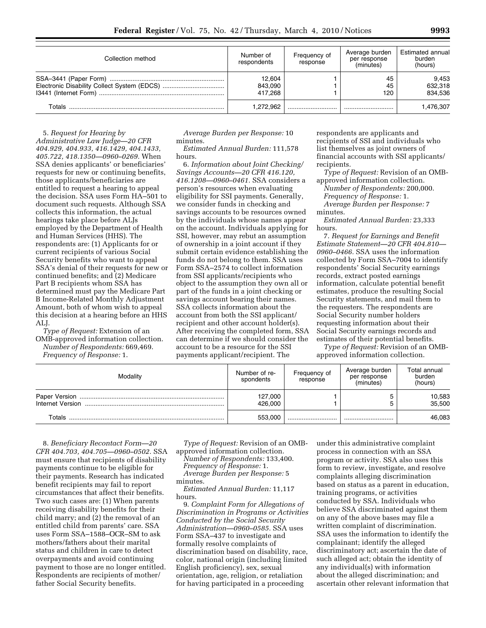| Collection method | Number of<br>respondents     | Frequency of<br>response | Average burden<br>per response<br>(minutes) | Estimated annual<br>burden<br>(hours) |
|-------------------|------------------------------|--------------------------|---------------------------------------------|---------------------------------------|
|                   | 12.604<br>843,090<br>417.268 |                          | 45<br>45<br>120                             | 9,453<br>632,318<br>834.536           |
| Totals            | 1.272.962                    |                          |                                             | 1,476,307                             |

5. *Request for Hearing by Administrative Law Judge—20 CFR 404.929, 404.933, 416.1429, 404.1433, 405.722, 418.1350—0960–0269.* When SSA denies applicants' or beneficiaries' requests for new or continuing benefits, those applicants/beneficiaries are entitled to request a hearing to appeal the decision. SSA uses Form HA–501 to document such requests. Although SSA collects this information, the actual hearings take place before ALJs employed by the Department of Health and Human Services (HHS). The respondents are: (1) Applicants for or current recipients of various Social Security benefits who want to appeal SSA's denial of their requests for new or continued benefits; and (2) Medicare Part B recipients whom SSA has determined must pay the Medicare Part B Income-Related Monthly Adjustment Amount, both of whom wish to appeal this decision at a hearing before an HHS ALJ.

*Type of Request:* Extension of an OMB-approved information collection. *Number of Respondents:* 669,469. *Frequency of Response:* 1.

*Average Burden per Response:* 10 minutes.

*Estimated Annual Burden:* 111,578 hours.

6. *Information about Joint Checking/ Savings Accounts—20 CFR 416.120, 416.1208—0960–0461.* SSA considers a person's resources when evaluating eligibility for SSI payments. Generally, we consider funds in checking and savings accounts to be resources owned by the individuals whose names appear on the account. Individuals applying for SSI, however, may rebut an assumption of ownership in a joint account if they submit certain evidence establishing the funds do not belong to them. SSA uses Form SSA–2574 to collect information from SSI applicants/recipients who object to the assumption they own all or part of the funds in a joint checking or savings account bearing their names. SSA collects information about the account from both the SSI applicant/ recipient and other account holder(s). After receiving the completed form, SSA can determine if we should consider the account to be a resource for the SSI payments applicant/recipient. The

respondents are applicants and recipients of SSI and individuals who list themselves as joint owners of financial accounts with SSI applicants/ recipients.

*Type of Request:* Revision of an OMBapproved information collection.

*Number of Respondents:* 200,000. *Frequency of Response:* 1. *Average Burden per Response:* 7 minutes.

*Estimated Annual Burden:* 23,333 hours.

7. *Request for Earnings and Benefit Estimate Statement—20 CFR 404.810— 0960–0466.* SSA uses the information collected by Form SSA–7004 to identify respondents' Social Security earnings records, extract posted earnings information, calculate potential benefit estimates, produce the resulting Social Security statements, and mail them to the requesters. The respondents are Social Security number holders requesting information about their Social Security earnings records and estimates of their potential benefits.

*Type of Request:* Revision of an OMBapproved information collection.

| Modality         | Number of re-<br>spondents | Frequency of<br>response | Average burden<br>per response<br>(minutes) | Total annual<br>burden<br>(hours) |
|------------------|----------------------------|--------------------------|---------------------------------------------|-----------------------------------|
| Internet Version | 127,000<br>426.000         |                          | 5                                           | 10,583<br>35,500                  |
| Totals           | 553,000                    |                          |                                             | 46,083                            |

8. *Beneficiary Recontact Form—20 CFR 404.703, 404.705—0960–0502.* SSA must ensure that recipients of disability payments continue to be eligible for their payments. Research has indicated benefit recipients may fail to report circumstances that affect their benefits. Two such cases are: (1) When parents receiving disability benefits for their child marry; and (2) the removal of an entitled child from parents' care. SSA uses Form SSA–1588–OCR–SM to ask mothers/fathers about their marital status and children in care to detect overpayments and avoid continuing payment to those are no longer entitled. Respondents are recipients of mother/ father Social Security benefits.

*Type of Request:* Revision of an OMBapproved information collection.

*Number of Respondents:* 133,400. *Frequency of Response:* 1. *Average Burden per Response:* 5 minutes.

*Estimated Annual Burden:* 11,117 hours.

9. *Complaint Form for Allegations of Discrimination in Programs or Activities Conducted by the Social Security Administration—0960–0585.* SSA uses Form SSA–437 to investigate and formally resolve complaints of discrimination based on disability, race, color, national origin (including limited English proficiency), sex, sexual orientation, age, religion, or retaliation for having participated in a proceeding

under this administrative complaint process in connection with an SSA program or activity. SSA also uses this form to review, investigate, and resolve complaints alleging discrimination based on status as a parent in education, training programs, or activities conducted by SSA. Individuals who believe SSA discriminated against them on any of the above bases may file a written complaint of discrimination. SSA uses the information to identify the complainant; identify the alleged discriminatory act; ascertain the date of such alleged act; obtain the identity of any individual(s) with information about the alleged discrimination; and ascertain other relevant information that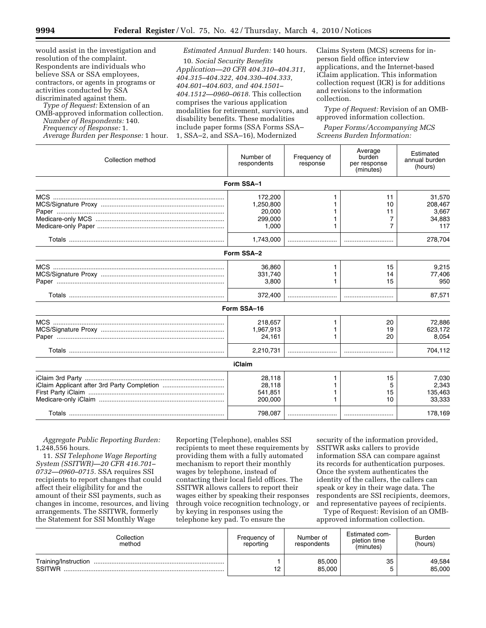would assist in the investigation and resolution of the complaint. Respondents are individuals who believe SSA or SSA employees, contractors, or agents in programs or activities conducted by SSA discriminated against them.

*Type of Request:* Extension of an OMB-approved information collection. *Number of Respondents:* 140. *Frequency of Response:* 1. *Average Burden per Response:* 1 hour.

# *Estimated Annual Burden:* 140 hours.

10. *Social Security Benefits Application—20 CFR 404.310–404.311, 404.315–404.322, 404.330–404.333, 404.601–404.603, and 404.1501– 404.1512—0960–0618.* This collection comprises the various application modalities for retirement, survivors, and disability benefits. These modalities include paper forms (SSA Forms SSA– 1, SSA–2, and SSA–16), Modernized

Claims System (MCS) screens for inperson field office interview applications, and the Internet-based iClaim application. This information collection request (ICR) is for additions and revisions to the information collection.

*Type of Request:* Revision of an OMBapproved information collection.

*Paper Forms/Accompanying MCS Screens Burden Information:* 

| Collection method | Number of<br>respondents                           | Frequency of<br>response | Average<br>burden<br>per response<br>(minutes) | Estimated<br>annual burden<br>(hours)       |
|-------------------|----------------------------------------------------|--------------------------|------------------------------------------------|---------------------------------------------|
|                   | Form SSA-1                                         |                          |                                                |                                             |
|                   | 172,200<br>1,250,800<br>20,000<br>299,000<br>1,000 |                          | 11<br>10<br>11<br>7<br>7                       | 31,570<br>208,467<br>3,667<br>34,883<br>117 |
|                   | 1,743,000                                          |                          |                                                | 278,704                                     |
|                   | Form SSA-2                                         |                          |                                                |                                             |
|                   | 36,860<br>331,740<br>3,800<br>372,400              |                          | 15<br>14<br>15                                 | 9,215<br>77,406<br>950<br>87,571            |
|                   | Form SSA-16                                        |                          |                                                |                                             |
|                   |                                                    |                          |                                                |                                             |
|                   | 218,657<br>1,967,913<br>24,161<br>2,210,731        |                          | 20<br>19<br>20                                 | 72.886<br>623,172<br>8,054<br>704,112       |
|                   |                                                    |                          |                                                |                                             |
|                   | <b>iClaim</b>                                      |                          |                                                |                                             |
|                   | 28,118<br>28,118<br>541.851<br>200,000             |                          | 15<br>5<br>15<br>10                            | 7,030<br>2,343<br>135,463<br>33,333         |
|                   | 798,087                                            |                          |                                                | 178,169                                     |

*Aggregate Public Reporting Burden:*  1,248,556 hours.

11. *SSI Telephone Wage Reporting System (SSITWR)—20 CFR 416.701– 0732—0960–0715.* SSA requires SSI recipients to report changes that could affect their eligibility for and the amount of their SSI payments, such as changes in income, resources, and living arrangements. The SSITWR, formerly the Statement for SSI Monthly Wage

Reporting (Telephone), enables SSI recipients to meet these requirements by providing them with a fully automated mechanism to report their monthly wages by telephone, instead of contacting their local field offices. The SSITWR allows callers to report their wages either by speaking their responses through voice recognition technology, or by keying in responses using the telephone key pad. To ensure the

security of the information provided, SSITWR asks callers to provide information SSA can compare against its records for authentication purposes. Once the system authenticates the identity of the callers, the callers can speak or key in their wage data. The respondents are SSI recipients, deemors, and representative payees of recipients. Type of Request: Revision of an OMB-

approved information collection.

| Collection<br>method                  | Frequency of<br>reporting | Number of<br>respondents | Estimated com-<br>pletion time<br>(minutes) | <b>Burden</b><br>(hours) |
|---------------------------------------|---------------------------|--------------------------|---------------------------------------------|--------------------------|
| Training/Instruction<br><b>SSITWR</b> | 12                        | 85,000<br>85,000         | 35<br>∽<br>ັ                                | 49,584<br>85,000         |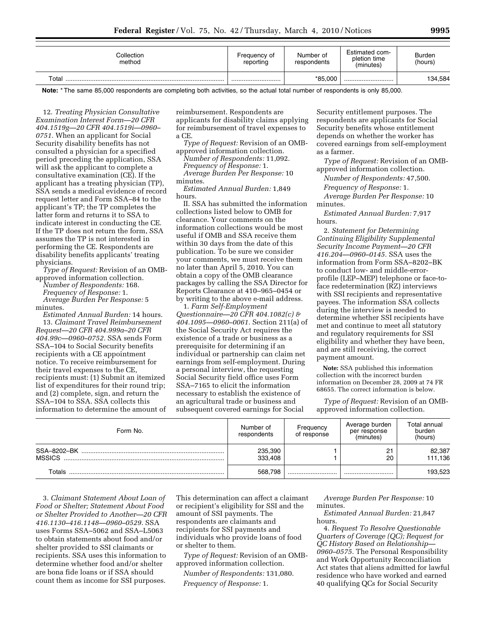| Collection<br>method | Frequency of<br>reporting | Number of<br>respondents | Estimated com-<br>pletion time<br>(minutes) | Burden<br>(hours) |
|----------------------|---------------------------|--------------------------|---------------------------------------------|-------------------|
| Total                |                           | *85.000                  |                                             | 134,584           |

**Note:** \* The same 85,000 respondents are completing both activities, so the actual total number of respondents is only 85,000.

12. *Treating Physician Consultative Examination Interest Form—20 CFR 404.1519g—20 CFR 404.1519i—0960– 0751.* When an applicant for Social Security disability benefits has not consulted a physician for a specified period preceding the application, SSA will ask the applicant to complete a consultative examination (CE). If the applicant has a treating physician (TP), SSA sends a medical evidence of record request letter and Form SSA–84 to the applicant's TP; the TP completes the latter form and returns it to SSA to indicate interest in conducting the CE. If the TP does not return the form, SSA assumes the TP is not interested in performing the CE. Respondents are disability benefits applicants' treating physicians.

*Type of Request:* Revision of an OMBapproved information collection.

*Number of Respondents:* 168. *Frequency of Response:* 1. *Average Burden Per Response:* 5

minutes.

*Estimated Annual Burden:* 14 hours. 13. *Claimant Travel Reimbursement Request—20 CFR 404.999a–20 CFR 404.99c—0960–0752.* SSA sends Form SSA–104 to Social Security benefits recipients with a CE appointment notice. To receive reimbursement for their travel expenses to the CE, recipients must: (1) Submit an itemized list of expenditures for their round trip; and (2) complete, sign, and return the SSA–104 to SSA. SSA collects this information to determine the amount of reimbursement. Respondents are applicants for disability claims applying for reimbursement of travel expenses to a CE.

*Type of Request:* Revision of an OMBapproved information collection.

*Number of Respondents:* 11,092. *Frequency of Response:* 1. *Average Burden Per Response:* 10 minutes.

*Estimated Annual Burden:* 1,849 hours.

II. SSA has submitted the information collections listed below to OMB for clearance. Your comments on the information collections would be most useful if OMB and SSA receive them within 30 days from the date of this publication. To be sure we consider your comments, we must receive them no later than April 5, 2010. You can obtain a copy of the OMB clearance packages by calling the SSA Director for Reports Clearance at 410–965–0454 or by writing to the above e-mail address.

1. *Farm Self-Employment Questionnaire—20 CFR 404.1082(c) & 404.1095—0960–0061.* Section 211(a) of the Social Security Act requires the existence of a trade or business as a prerequisite for determining if an individual or partnership can claim net earnings from self-employment. During a personal interview, the requesting Social Security field office uses Form SSA–7165 to elicit the information necessary to establish the existence of an agricultural trade or business and subsequent covered earnings for Social

Security entitlement purposes. The respondents are applicants for Social Security benefits whose entitlement depends on whether the worker has covered earnings from self-employment as a farmer.

*Type of Request:* Revision of an OMBapproved information collection.

*Number of Respondents:* 47,500.

*Frequency of Response:* 1.

*Average Burden Per Response:* 10 minutes.

*Estimated Annual Burden:* 7,917 hours.

2. *Statement for Determining Continuing Eligibility Supplemental Security Income Payment—20 CFR 416.204—0960–0145.* SSA uses the information from Form SSA–8202–BK to conduct low- and middle-errorprofile (LEP–MEP) telephone or face-toface redetermination (RZ) interviews with SSI recipients and representative payees. The information SSA collects during the interview is needed to determine whether SSI recipients have met and continue to meet all statutory and regulatory requirements for SSI eligibility and whether they have been, and are still receiving, the correct payment amount.

**Note:** SSA published this information collection with the incorrect burden information on December 28, 2009 at 74 FR 68655. The correct information is below.

*Type of Request:* Revision of an OMBapproved information collection.

| Form No.                     | Number of<br>respondents | Frequency<br>of response | Average burden<br>per response<br>(minutes) | Total annual<br>burden<br>(hours) |
|------------------------------|--------------------------|--------------------------|---------------------------------------------|-----------------------------------|
| SSA-8202-BK<br><b>MSSICS</b> | 235,390<br>333,408       |                          | 21<br>20                                    | 82,387<br>111,136                 |
| Totals                       | 568.798                  |                          |                                             | 193,523                           |

3. *Claimant Statement About Loan of Food or Shelter; Statement About Food or Shelter Provided to Another—20 CFR 416.1130–416.1148—0960–0529.* SSA uses Forms SSA–5062 and SSA–L5063 to obtain statements about food and/or shelter provided to SSI claimants or recipients. SSA uses this information to determine whether food and/or shelter are bona fide loans or if SSA should count them as income for SSI purposes.

This determination can affect a claimant or recipient's eligibility for SSI and the amount of SSI payments. The respondents are claimants and recipients for SSI payments and individuals who provide loans of food or shelter to them.

*Type of Request:* Revision of an OMBapproved information collection.

*Number of Respondents:* 131,080. *Frequency of Response:* 1.

*Average Burden Per Response:* 10 minutes.

*Estimated Annual Burden:* 21,847 hours.

4. *Request To Resolve Questionable Quarters of Coverage (QC); Request for QC History Based on Relationship— 0960–0575.* The Personal Responsibility and Work Opportunity Reconciliation Act states that aliens admitted for lawful residence who have worked and earned 40 qualifying QCs for Social Security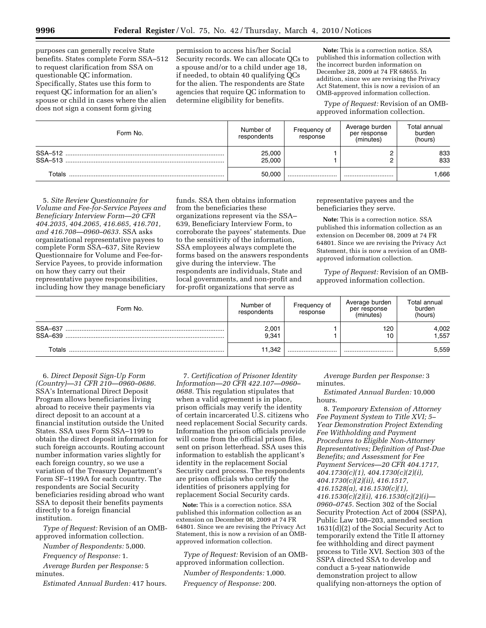purposes can generally receive State benefits. States complete Form SSA–512 to request clarification from SSA on questionable QC information. Specifically, States use this form to request QC information for an alien's spouse or child in cases where the alien does not sign a consent form giving

permission to access his/her Social Security records. We can allocate QCs to a spouse and/or to a child under age 18, if needed, to obtain 40 qualifying QCs for the alien. The respondents are State agencies that require QC information to determine eligibility for benefits.

**Note:** This is a correction notice. SSA published this information collection with the incorrect burden information on December 28, 2009 at 74 FR 68655. In addition, since we are revising the Privacy Act Statement, this is now a revision of an OMB-approved information collection.

*Type of Request:* Revision of an OMBapproved information collection.

| Form No.          | Number of<br>respondents | Frequency of<br>response | Average burden<br>per response<br>(minutes) | Total annual<br>burden<br>(hours) |
|-------------------|--------------------------|--------------------------|---------------------------------------------|-----------------------------------|
|                   | 25,000<br>25.000         |                          | ົ<br>՟                                      | 833<br>833                        |
| $\mathsf{Totals}$ | 50.000                   |                          |                                             | .666                              |

5. *Site Review Questionnaire for Volume and Fee-for-Service Payees and Beneficiary Interview Form—20 CFR 404.2035, 404.2065, 416.665, 416.701, and 416.708—0960–0633.* SSA asks organizational representative payees to complete Form SSA–637, Site Review Questionnaire for Volume and Fee-for-Service Payees, to provide information on how they carry out their representative payee responsibilities, including how they manage beneficiary

funds. SSA then obtains information from the beneficiaries these organizations represent via the SSA– 639, Beneficiary Interview Form, to corroborate the payees' statements. Due to the sensitivity of the information, SSA employees always complete the forms based on the answers respondents give during the interview. The respondents are individuals, State and local governments, and non-profit and for-profit organizations that serve as

representative payees and the beneficiaries they serve.

**Note:** This is a correction notice. SSA published this information collection as an extension on December 08, 2009 at 74 FR 64801. Since we are revising the Privacy Act Statement, this is now a revision of an OMBapproved information collection.

*Type of Request:* Revision of an OMBapproved information collection.

| Form No.           | Number of<br>respondents | Frequency of<br>response | Average burden<br>per response<br>(minutes) | Total annual<br>burden<br>(hours) |
|--------------------|--------------------------|--------------------------|---------------------------------------------|-----------------------------------|
| SSA-637<br>SSA-639 | 2,001<br>9,341           |                          | 120<br>10                                   | 4,002<br>1,557                    |
| Totals             | 11.342                   |                          |                                             | 5,559                             |

6. *Direct Deposit Sign-Up Form (Country)—31 CFR 210—0960–0686.*  SSA's International Direct Deposit Program allows beneficiaries living abroad to receive their payments via direct deposit to an account at a financial institution outside the United States. SSA uses Form SSA–1199 to obtain the direct deposit information for such foreign accounts. Routing account number information varies slightly for each foreign country, so we use a variation of the Treasury Department's Form SF–1199A for each country. The respondents are Social Security beneficiaries residing abroad who want SSA to deposit their benefits payments directly to a foreign financial institution.

*Type of Request:* Revision of an OMBapproved information collection.

*Number of Respondents:* 5,000.

*Frequency of Response:* 1.

*Average Burden per Response:* 5 minutes.

*Estimated Annual Burden:* 417 hours.

7. *Certification of Prisoner Identity Information—20 CFR 422.107—0960– 0688.* This regulation stipulates that when a valid agreement is in place, prison officials may verify the identity of certain incarcerated U.S. citizens who need replacement Social Security cards. Information the prison officials provide will come from the official prison files, sent on prison letterhead. SSA uses this information to establish the applicant's identity in the replacement Social Security card process. The respondents are prison officials who certify the identities of prisoners applying for replacement Social Security cards.

**Note:** This is a correction notice. SSA published this information collection as an extension on December 08, 2009 at 74 FR 64801. Since we are revising the Privacy Act Statement, this is now a revision of an OMBapproved information collection.

*Type of Request:* Revision of an OMBapproved information collection.

*Number of Respondents:* 1,000. *Frequency of Response:* 200.

*Average Burden per Response:* 3 minutes.

*Estimated Annual Burden:* 10,000 hours.

8. *Temporary Extension of Attorney Fee Payment System to Title XVI; 5– Year Demonstration Project Extending Fee Withholding and Payment Procedures to Eligible Non-Attorney Representatives; Definition of Past-Due Benefits; and Assessment for Fee Payment Services—20 CFR 404.1717, 404.1730(c)(1), 404.1730(c)(2)(i), 404.1730(c)(2)(ii), 416.1517, 416.1528(a), 416.1530(c)(1), 416.1530(c)(2)(i), 416.1530(c)(2)(i)— 0960–0745.* Section 302 of the Social Security Protection Act of 2004 (SSPA), Public Law 108–203, amended section 1631(d)(2) of the Social Security Act to temporarily extend the Title II attorney fee withholding and direct payment process to Title XVI. Section 303 of the SSPA directed SSA to develop and conduct a 5-year nationwide demonstration project to allow qualifying non-attorneys the option of